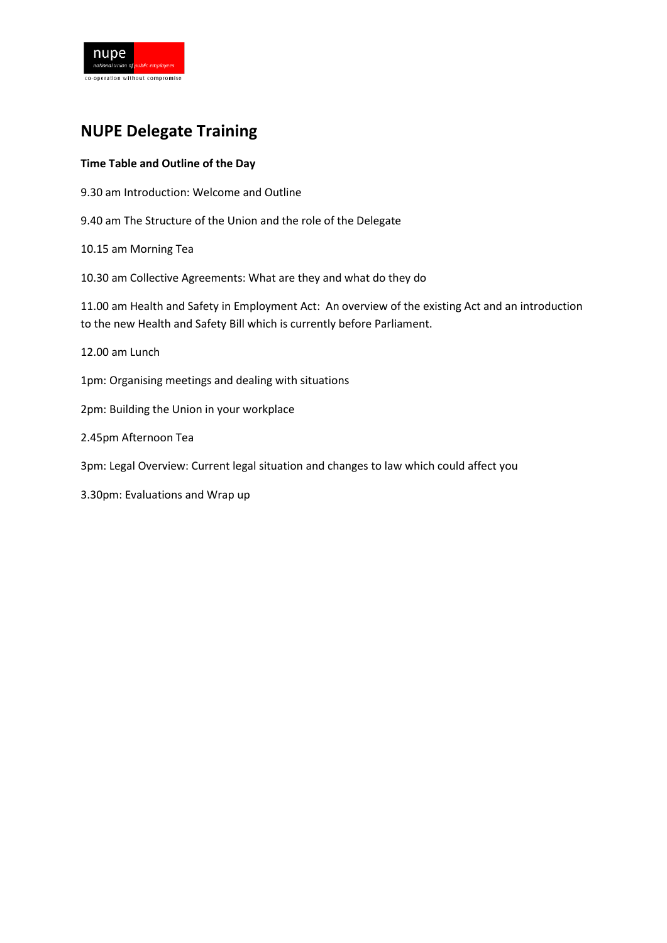

## **NUPE Delegate Training**

### **Time Table and Outline of the Day**

- 9.30 am Introduction: Welcome and Outline
- 9.40 am The Structure of the Union and the role of the Delegate
- 10.15 am Morning Tea
- 10.30 am Collective Agreements: What are they and what do they do

11.00 am Health and Safety in Employment Act: An overview of the existing Act and an introduction to the new Health and Safety Bill which is currently before Parliament.

12.00 am Lunch

1pm: Organising meetings and dealing with situations

2pm: Building the Union in your workplace

2.45pm Afternoon Tea

3pm: Legal Overview: Current legal situation and changes to law which could affect you

3.30pm: Evaluations and Wrap up